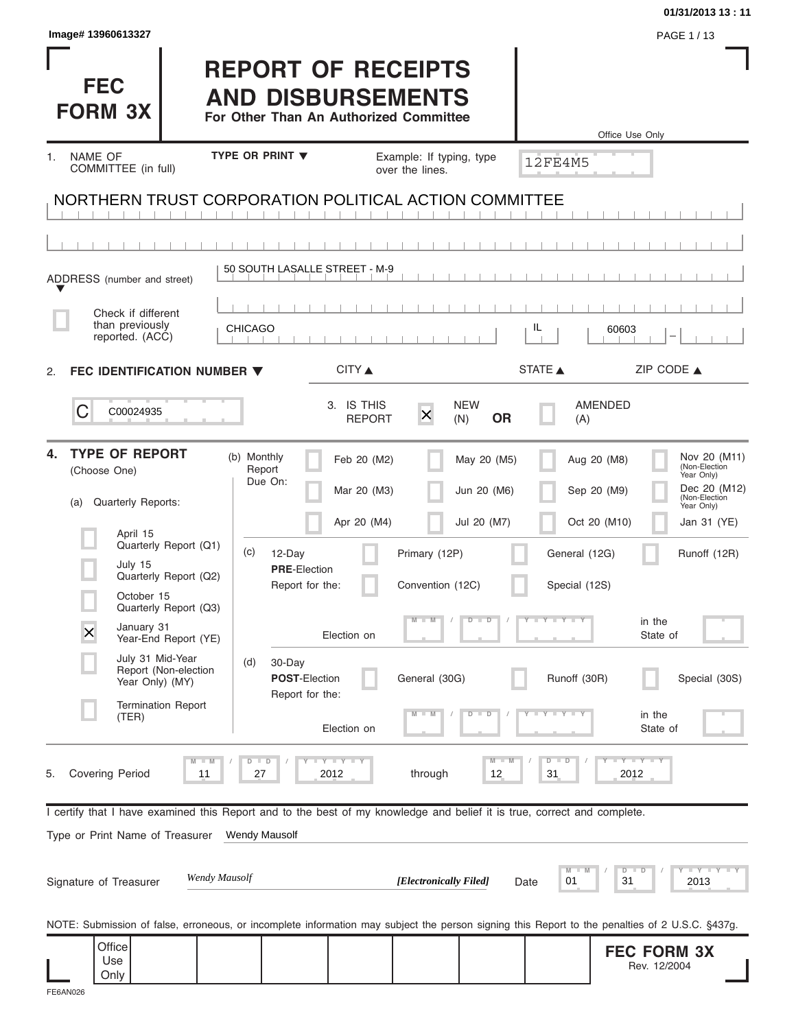|                                                                                                                                                |                                                                                                 |                                         |                                   |                               | 01/31/2013 13:11                                                                |
|------------------------------------------------------------------------------------------------------------------------------------------------|-------------------------------------------------------------------------------------------------|-----------------------------------------|-----------------------------------|-------------------------------|---------------------------------------------------------------------------------|
| Image# 13960613327                                                                                                                             |                                                                                                 |                                         |                                   |                               | PAGE 1/13                                                                       |
| <b>FEC</b><br><b>FORM 3X</b>                                                                                                                   | <b>REPORT OF RECEIPTS</b><br><b>AND DISBURSEMENTS</b><br>For Other Than An Authorized Committee |                                         |                                   |                               | Office Use Only                                                                 |
| NAME OF<br>1.                                                                                                                                  | <b>TYPE OR PRINT ▼</b>                                                                          | Example: If typing, type                |                                   |                               |                                                                                 |
| COMMITTEE (in full)                                                                                                                            |                                                                                                 | over the lines.                         |                                   | <b>12FE4M5</b>                |                                                                                 |
| NORTHERN TRUST CORPORATION POLITICAL ACTION COMMITTEE                                                                                          |                                                                                                 |                                         |                                   |                               |                                                                                 |
|                                                                                                                                                |                                                                                                 |                                         |                                   |                               |                                                                                 |
| ADDRESS (number and street)                                                                                                                    | 50 SOUTH LASALLE STREET - M-9                                                                   |                                         |                                   |                               |                                                                                 |
| Check if different                                                                                                                             |                                                                                                 |                                         |                                   |                               |                                                                                 |
| than previously<br>reported. (ACC)                                                                                                             | <b>CHICAGO</b>                                                                                  |                                         |                                   | IL<br>60603                   |                                                                                 |
| FEC IDENTIFICATION NUMBER $\blacktriangledown$                                                                                                 |                                                                                                 | CITY ▲                                  |                                   | STATE A                       | ZIP CODE $\triangle$                                                            |
| 2.                                                                                                                                             |                                                                                                 |                                         |                                   |                               |                                                                                 |
| С<br>C00024935                                                                                                                                 |                                                                                                 | 3. IS THIS<br>$\times$<br><b>REPORT</b> | <b>NEW</b><br><b>OR</b><br>(N)    | <b>AMENDED</b><br>(A)         |                                                                                 |
| <b>TYPE OF REPORT</b><br>4.<br>(Choose One)                                                                                                    | (b) Monthly<br>Report<br>Due On:                                                                | Feb 20 (M2)<br>Mar 20 (M3)              | May 20 (M5)<br>Jun 20 (M6)        | Aug 20 (M8)<br>Sep 20 (M9)    | Nov 20 (M11)<br>(Non-Election<br>Year Only)<br>Dec 20 (M12)                     |
| Quarterly Reports:<br>(a)                                                                                                                      |                                                                                                 |                                         |                                   |                               | (Non-Election<br>Year Only)                                                     |
| April 15<br>Quarterly Report (Q1)                                                                                                              | (c)<br>12-Day                                                                                   | Apr 20 (M4)<br>Primary (12P)            | Jul 20 (M7)                       | Oct 20 (M10)<br>General (12G) | Jan 31 (YE)<br>Runoff (12R)                                                     |
| July 15<br>Quarterly Report (Q2)<br>October 15                                                                                                 | <b>PRE-Election</b><br>Report for the:                                                          | Convention (12C)                        |                                   | Special (12S)                 |                                                                                 |
| Quarterly Report (Q3)<br>January 31<br>X<br>Year-End Report (YE)                                                                               |                                                                                                 | Election on                             | $\overline{\mathsf{D}}$<br>$\Box$ | $+$ Y $+$ Y $+$               | in the<br>State of                                                              |
| July 31 Mid-Year<br>Report (Non-election<br>Year Only) (MY)                                                                                    | (d)<br>30-Day<br><b>POST-Election</b>                                                           | General (30G)                           |                                   | Runoff (30R)                  | Special (30S)                                                                   |
| <b>Termination Report</b><br>(TER)                                                                                                             | Report for the:                                                                                 | Election on                             | $\overline{\mathbf{D}}$<br>D      |                               | in the<br>State of                                                              |
| $M - M$<br><b>Covering Period</b><br>11<br>5.                                                                                                  | $D$ $D$<br><b>LYLYLY</b><br>27<br>2012                                                          | through                                 | $M - M$<br>12                     | $D$ $D$<br>31                 | $-Y - Y - Y$<br>2012                                                            |
| I certify that I have examined this Report and to the best of my knowledge and belief it is true, correct and complete.                        |                                                                                                 |                                         |                                   |                               |                                                                                 |
| Type or Print Name of Treasurer                                                                                                                | <b>Wendy Mausolf</b>                                                                            |                                         |                                   |                               |                                                                                 |
| Wendy Mausolf<br>Signature of Treasurer                                                                                                        |                                                                                                 | [Electronically Filed]                  | Date                              | M<br>D<br>01                  | $\bot$ $\gamma$ $\bot$ $\gamma$ $\bot$ $\gamma$<br>$\blacksquare$<br>31<br>2013 |
| NOTE: Submission of false, erroneous, or incomplete information may subject the person signing this Report to the penalties of 2 U.S.C. §437g. |                                                                                                 |                                         |                                   |                               |                                                                                 |
| Office<br>Use<br>Only                                                                                                                          |                                                                                                 |                                         |                                   |                               | <b>FEC FORM 3X</b><br>Rev. 12/2004                                              |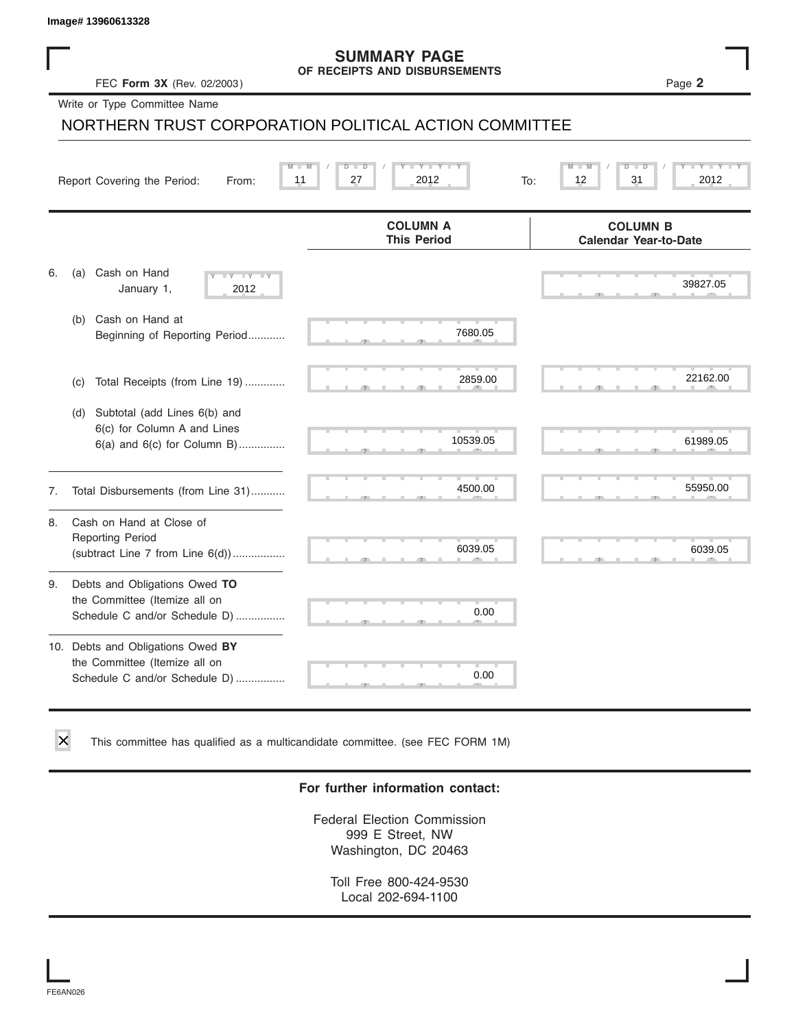### **SUMMARY PAGE OF RECEIPTS AND DISBURSEMENTS**

|    | Image# 13960613328                                                                                  |                                                       |                                                 |
|----|-----------------------------------------------------------------------------------------------------|-------------------------------------------------------|-------------------------------------------------|
|    | FEC Form 3X (Rev. 02/2003)                                                                          | <b>SUMMARY PAGE</b><br>OF RECEIPTS AND DISBURSEMENTS  | Page 2                                          |
|    | Write or Type Committee Name                                                                        |                                                       |                                                 |
|    |                                                                                                     | NORTHERN TRUST CORPORATION POLITICAL ACTION COMMITTEE |                                                 |
|    | Report Covering the Period:<br>From:                                                                | $Y - Y$<br>D<br>Ð<br>27<br>2012<br>11<br>To:          | 31<br>2012<br>12                                |
|    |                                                                                                     | <b>COLUMN A</b><br><b>This Period</b>                 | <b>COLUMN B</b><br><b>Calendar Year-to-Date</b> |
| 6. | Cash on Hand<br>(a)<br>$-\gamma$<br>January 1,<br>2012                                              |                                                       | 39827.05                                        |
|    | (b) Cash on Hand at<br>Beginning of Reporting Period                                                | 7680.05                                               |                                                 |
|    | Total Receipts (from Line 19)<br>(c)                                                                | 2859.00                                               | 22162.00                                        |
|    | Subtotal (add Lines 6(b) and<br>(d)<br>6(c) for Column A and Lines<br>6(a) and 6(c) for Column B)   | 10539.05                                              | 61989.05                                        |
| 7. | Total Disbursements (from Line 31)                                                                  | 4500.00                                               | 55950.00                                        |
| 8. | Cash on Hand at Close of<br><b>Reporting Period</b><br>(subtract Line $7$ from Line $6(d)$ )        | 6039.05                                               | 6039.05                                         |
| 9. | Debts and Obligations Owed TO<br>the Committee (Itemize all on<br>Schedule C and/or Schedule D)     | 0.00                                                  |                                                 |
|    | 10. Debts and Obligations Owed BY<br>the Committee (Itemize all on<br>Schedule C and/or Schedule D) | 0.00                                                  |                                                 |

This committee has qualified as a multicandidate committee. (see FEC FORM 1M)

### **For further information contact:**

Federal Election Commission 999 E Street, NW Washington, DC 20463

Toll Free 800-424-9530 Local 202-694-1100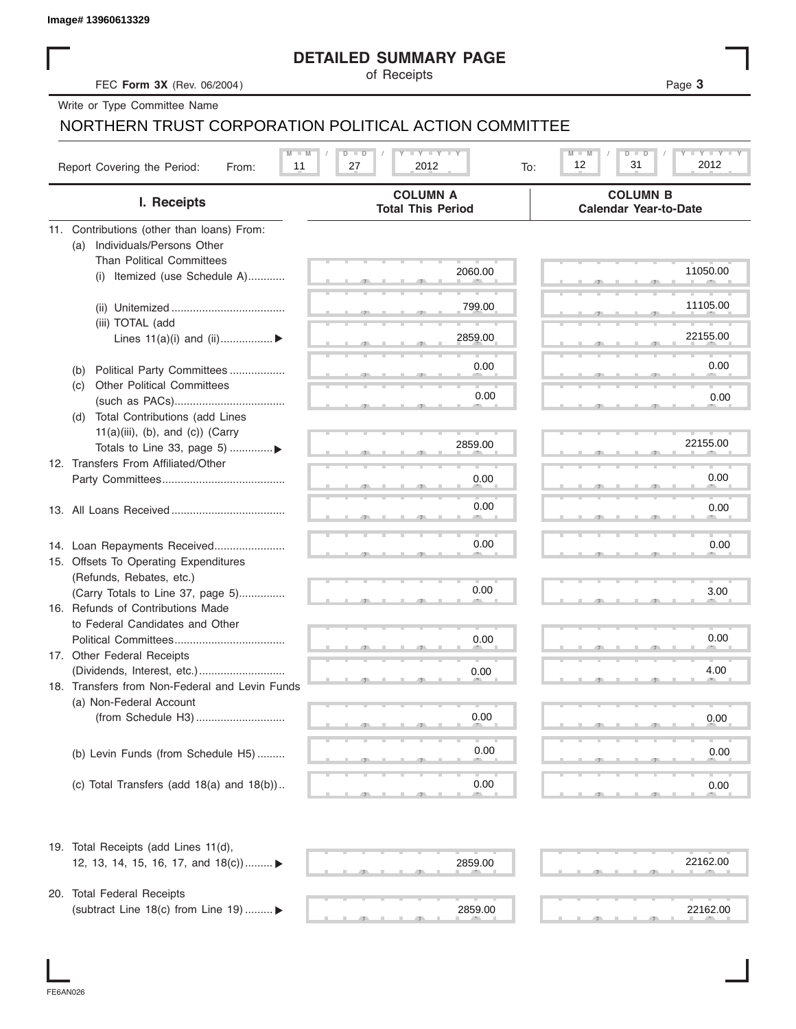|                                                       | <b>DETAILED SUMMARY PAGE</b>                |                                                 |
|-------------------------------------------------------|---------------------------------------------|-------------------------------------------------|
| FEC Form 3X (Rev. 06/2004)                            | of Receipts                                 | Page 3                                          |
| Write or Type Committee Name                          |                                             |                                                 |
| NORTHERN TRUST CORPORATION POLITICAL ACTION COMMITTEE |                                             |                                                 |
|                                                       | <b>LY LY LY</b><br>$D$ $D$                  | <b>TAN TANK</b><br>$M - M$<br>$D$ $D$           |
| Report Covering the Period:<br>11<br>From:            | 2012<br>27<br>To:                           | 12<br>31<br>2012                                |
| I. Receipts                                           | <b>COLUMN A</b><br><b>Total This Period</b> | <b>COLUMN B</b><br><b>Calendar Year-to-Date</b> |
| 11. Contributions (other than loans) From:            |                                             |                                                 |
| Individuals/Persons Other<br>(a)                      |                                             |                                                 |
| <b>Than Political Committees</b>                      | 2060.00                                     | 11050.00                                        |
| Itemized (use Schedule A)<br>(i)                      |                                             |                                                 |
|                                                       | 799.00                                      | 11105.00                                        |
| (iii) TOTAL (add                                      |                                             |                                                 |
| Lines $11(a)(i)$ and $(ii)$                           | 2859.00                                     | 22155.00                                        |
|                                                       |                                             |                                                 |
| Political Party Committees<br>(b)                     | 0.00                                        | 0.00                                            |
| <b>Other Political Committees</b><br>(c)              |                                             |                                                 |
|                                                       | 0.00                                        | 0.00                                            |
| Total Contributions (add Lines<br>(d)                 |                                             |                                                 |
| $11(a)(iii)$ , (b), and (c)) (Carry                   | 2859.00                                     | 22155.00                                        |
| Totals to Line 33, page 5) ▶                          |                                             |                                                 |
| 12. Transfers From Affiliated/Other                   |                                             | 0.00                                            |
|                                                       | 0.00                                        |                                                 |
|                                                       | 0.00                                        | 0.00                                            |
|                                                       |                                             |                                                 |
| 14. Loan Repayments Received                          | 0.00                                        | 0.00                                            |
| 15. Offsets To Operating Expenditures                 |                                             |                                                 |
| (Refunds, Rebates, etc.)                              |                                             |                                                 |
| (Carry Totals to Line 37, page 5)                     | 0.00                                        | 3.00                                            |
| 16. Refunds of Contributions Made                     |                                             |                                                 |
| to Federal Candidates and Other                       |                                             |                                                 |
| Political Committees                                  | 0.00                                        | 0.00                                            |
| 17. Other Federal Receipts                            |                                             |                                                 |
| (Dividends, Interest, etc.)                           | 0.00                                        | 4.00                                            |
| 18. Transfers from Non-Federal and Levin Funds        |                                             |                                                 |
| (a) Non-Federal Account                               | 0.00                                        |                                                 |
|                                                       |                                             | 0.00                                            |
|                                                       | 0.00                                        |                                                 |
| (b) Levin Funds (from Schedule H5)                    |                                             | 0.00                                            |
| (c) Total Transfers (add $18(a)$ and $18(b)$ )        | 0.00                                        | 0.00                                            |
|                                                       |                                             |                                                 |
| 19. Total Receipts (add Lines 11(d),                  |                                             |                                                 |
| 12, 13, 14, 15, 16, 17, and 18(c)) ▶                  | 2859.00                                     | 22162.00                                        |
| 20. Total Federal Receipts                            |                                             |                                                 |
| (subtract Line 18(c) from Line 19)  ▶                 | 2859.00                                     | 22162.00                                        |
|                                                       |                                             |                                                 |

I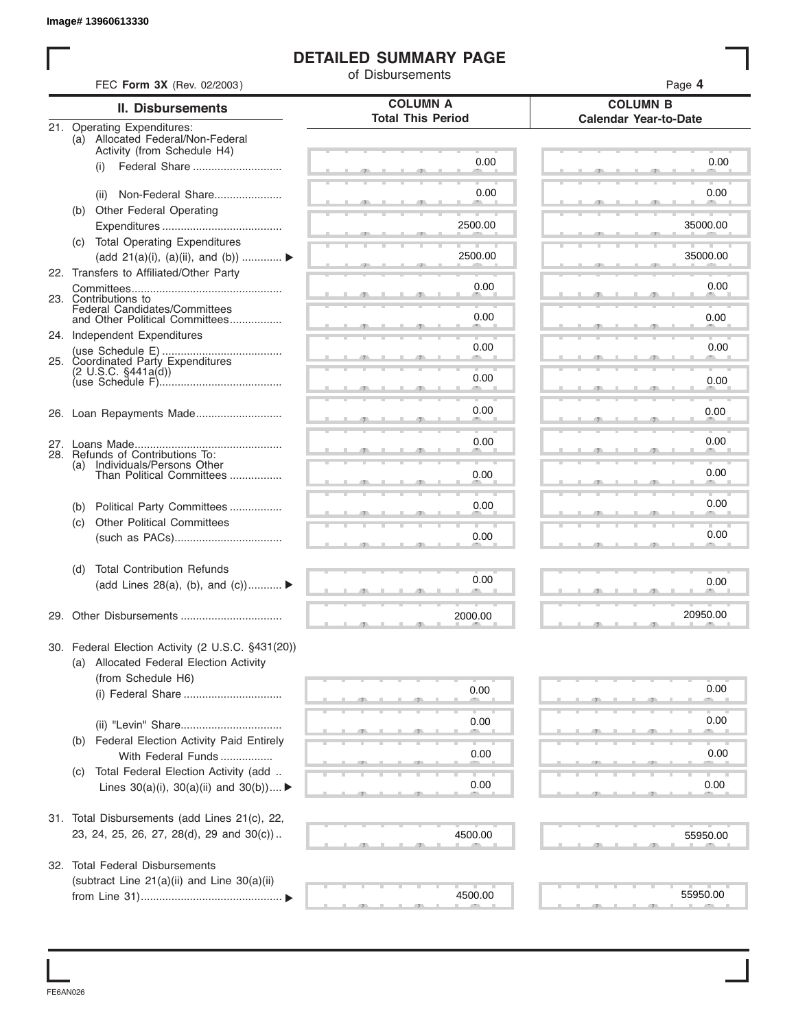## **DETAILED SUMMARY PAGE**

|     |                                                                                              | of Disbursements                            |                                                 |
|-----|----------------------------------------------------------------------------------------------|---------------------------------------------|-------------------------------------------------|
|     | FEC Form 3X (Rev. 02/2003)                                                                   |                                             | Page 4                                          |
|     | <b>II. Disbursements</b>                                                                     | <b>COLUMN A</b><br><b>Total This Period</b> | <b>COLUMN B</b><br><b>Calendar Year-to-Date</b> |
|     | 21. Operating Expenditures:<br>(a) Allocated Federal/Non-Federal                             |                                             |                                                 |
|     | Activity (from Schedule H4)                                                                  |                                             |                                                 |
|     | Federal Share<br>(i)                                                                         | 0.00                                        | 0.00                                            |
|     | Non-Federal Share<br>(ii)                                                                    | 0.00                                        | 0.00                                            |
|     | (b) Other Federal Operating                                                                  |                                             |                                                 |
|     |                                                                                              | 2500.00                                     | 35000.00                                        |
|     | (c) Total Operating Expenditures                                                             |                                             |                                                 |
|     | (add 21(a)(i), (a)(ii), and (b))                                                             | 2500.00                                     | 35000.00                                        |
|     | 22. Transfers to Affiliated/Other Party                                                      |                                             |                                                 |
|     |                                                                                              | 0.00                                        | 0.00                                            |
|     | 23. Contributions to<br>Federal Candidates/Committees                                        |                                             |                                                 |
|     | and Other Political Committees                                                               | 0.00                                        | 0.00                                            |
|     | 24. Independent Expenditures                                                                 | 0.00                                        | 0.00                                            |
|     | 25. Coordinated Party Expenditures                                                           |                                             |                                                 |
|     | $(2 \text{ U.S.C. } $441a(d))$                                                               | 0.00                                        | 0.00                                            |
|     |                                                                                              |                                             |                                                 |
|     |                                                                                              | 0.00                                        | 0.00                                            |
|     |                                                                                              |                                             |                                                 |
|     |                                                                                              | 0.00                                        | 0.00                                            |
| (a) | 28. Refunds of Contributions To:                                                             |                                             |                                                 |
|     | Individuals/Persons Other<br>Than Political Committees                                       | 0.00                                        | 0.00                                            |
|     |                                                                                              |                                             |                                                 |
| (b) | Political Party Committees                                                                   | 0.00                                        | 0.00                                            |
| (c) | <b>Other Political Committees</b>                                                            |                                             | 0.00                                            |
|     |                                                                                              | 0.00                                        |                                                 |
| (d) | <b>Total Contribution Refunds</b>                                                            |                                             |                                                 |
|     | (add Lines 28(a), (b), and (c))                                                              | 0.00                                        | 0.00                                            |
|     |                                                                                              |                                             |                                                 |
|     | 29. Other Disbursements                                                                      | 2000.00                                     | 20950.00                                        |
|     |                                                                                              |                                             |                                                 |
|     | 30. Federal Election Activity (2 U.S.C. §431(20))<br>(a) Allocated Federal Election Activity |                                             |                                                 |
|     | (from Schedule H6)                                                                           |                                             |                                                 |
|     |                                                                                              | 0.00                                        | 0.00                                            |
|     |                                                                                              |                                             |                                                 |
|     |                                                                                              | 0.00                                        | 0.00                                            |
|     | (b) Federal Election Activity Paid Entirely                                                  |                                             |                                                 |
|     | With Federal Funds                                                                           | 0.00                                        | 0.00                                            |
| (C) | Total Federal Election Activity (add                                                         |                                             |                                                 |
|     | Lines $30(a)(i)$ , $30(a)(ii)$ and $30(b))$                                                  | 0.00                                        | 0.00                                            |
|     |                                                                                              |                                             |                                                 |
|     | 31. Total Disbursements (add Lines 21(c), 22,                                                |                                             |                                                 |
|     | 23, 24, 25, 26, 27, 28(d), 29 and 30(c))                                                     | 4500.00                                     | 55950.00                                        |
|     | 32. Total Federal Disbursements                                                              |                                             |                                                 |
|     | (subtract Line 21(a)(ii) and Line 30(a)(ii)                                                  |                                             |                                                 |
|     |                                                                                              | 4500.00                                     | 55950.00                                        |

FE6AN026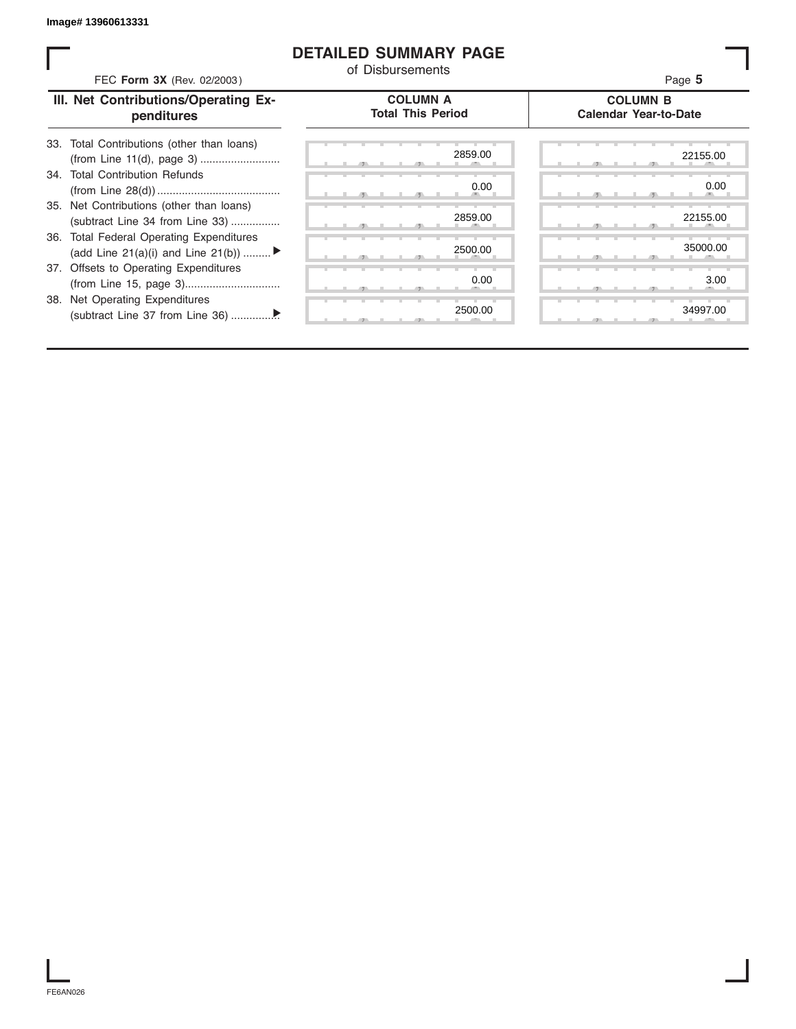## **DETAILED SUMMARY PAGE**

| FEC Form 3X (Rev. 02/2003)                                                     | <b>DETAILED SUMMARY PAGE</b><br>of Disbursements | Page 5                                          |
|--------------------------------------------------------------------------------|--------------------------------------------------|-------------------------------------------------|
| III. Net Contributions/Operating Ex-<br>penditures                             | <b>COLUMN A</b><br><b>Total This Period</b>      | <b>COLUMN B</b><br><b>Calendar Year-to-Date</b> |
| Total Contributions (other than loans)<br>33.                                  | 2859.00                                          | 22155.00                                        |
| 34. Total Contribution Refunds                                                 | 0.00                                             | 0.00                                            |
| Net Contributions (other than loans)<br>35.<br>(subtract Line 34 from Line 33) | 2859.00                                          | 22155.00                                        |
| 36. Total Federal Operating Expenditures<br>(add Line 21(a)(i) and Line 21(b)) | 2500.00                                          | 35000.00                                        |
| 37. Offsets to Operating Expenditures                                          | 0.00                                             | 3.00                                            |
| 38. Net Operating Expenditures                                                 | 2500.00                                          | 34997.00                                        |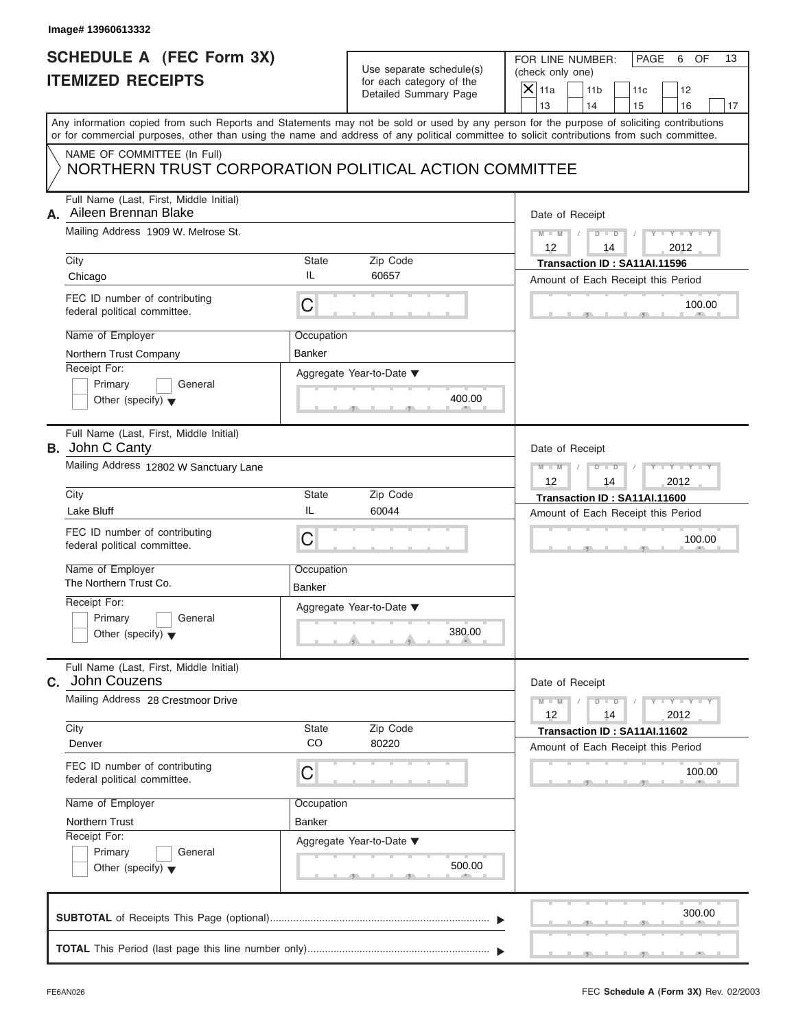# **SCHEDULE A (FEC Form 3X) ITEMIZED RECEIPTS**

| Use separate schedule(s) |
|--------------------------|
| for each category of the |
| Detailed Summary Page    |

FOR LINE NUMBER: | PAGE 6 OF

| SCHEDULE A (FEC Form 3X)                                                             |                      | Use separate schedule(s)                          | FOR LINE NUMBER:<br>PAGE<br>6<br>OF<br>13<br>(check only one)                                                                                                                                                                                                                           |
|--------------------------------------------------------------------------------------|----------------------|---------------------------------------------------|-----------------------------------------------------------------------------------------------------------------------------------------------------------------------------------------------------------------------------------------------------------------------------------------|
| <b>ITEMIZED RECEIPTS</b>                                                             |                      | for each category of the<br>Detailed Summary Page | $X$ 11a<br>11 <sub>b</sub><br>12<br>11c<br>13<br>14<br>15<br>16<br>17                                                                                                                                                                                                                   |
|                                                                                      |                      |                                                   | Any information copied from such Reports and Statements may not be sold or used by any person for the purpose of soliciting contributions<br>or for commercial purposes, other than using the name and address of any political committee to solicit contributions from such committee. |
| NAME OF COMMITTEE (In Full)<br>NORTHERN TRUST CORPORATION POLITICAL ACTION COMMITTEE |                      |                                                   |                                                                                                                                                                                                                                                                                         |
| Full Name (Last, First, Middle Initial)<br>Aileen Brennan Blake<br>А.                |                      |                                                   | Date of Receipt<br>$M - M$<br>$Y = Y +$<br>$D$ $D$<br>12<br>2012<br>14<br>Transaction ID: SA11AI.11596                                                                                                                                                                                  |
| Mailing Address 1909 W. Melrose St.<br>City<br><b>State</b><br>Zip Code              |                      |                                                   |                                                                                                                                                                                                                                                                                         |
| Chicago                                                                              | IL                   | 60657                                             | Amount of Each Receipt this Period                                                                                                                                                                                                                                                      |
| FEC ID number of contributing<br>federal political committee.                        | $\mathsf C$          |                                                   | 100.00                                                                                                                                                                                                                                                                                  |
| Name of Employer<br>Northern Trust Company                                           | Occupation<br>Banker |                                                   |                                                                                                                                                                                                                                                                                         |
| Receipt For:<br>General<br>Primary<br>Other (specify) $\blacktriangledown$           |                      | Aggregate Year-to-Date ▼<br>400.00<br>$-7$        |                                                                                                                                                                                                                                                                                         |
| Full Name (Last, First, Middle Initial)<br><b>B.</b> John C Canty                    |                      |                                                   |                                                                                                                                                                                                                                                                                         |
| Mailing Address 12802 W Sanctuary Lane                                               |                      |                                                   | $M - M$<br>D<br>$\Box$<br>12<br>2012<br>14                                                                                                                                                                                                                                              |
| City<br>Lake Bluff                                                                   | <b>State</b><br>IL   | Zip Code<br>60044                                 | Transaction ID: SA11AI.11600<br>Amount of Each Receipt this Period                                                                                                                                                                                                                      |
| FEC ID number of contributing<br>federal political committee.                        | C                    |                                                   | 100.00                                                                                                                                                                                                                                                                                  |
| Name of Employer<br>The Northern Trust Co.                                           | Occupation<br>Banker |                                                   |                                                                                                                                                                                                                                                                                         |
| Receipt For:                                                                         |                      | Aggregate Year-to-Date ▼                          |                                                                                                                                                                                                                                                                                         |
| General<br>Primary<br>Other (specify) $\blacktriangledown$                           |                      | 380.00                                            |                                                                                                                                                                                                                                                                                         |
| Full Name (Last, First, Middle Initial)<br>C. John Couzens                           |                      |                                                   | Date of Receipt                                                                                                                                                                                                                                                                         |
| Mailing Address 28 Crestmoor Drive                                                   |                      |                                                   | $Y - Y - Y - Y$<br>$M - M$<br>$D$ $D$<br>12<br>14<br>2012                                                                                                                                                                                                                               |
| City<br>Denver                                                                       | <b>State</b><br>CO   | Zip Code<br>80220                                 | Transaction ID: SA11AI.11602                                                                                                                                                                                                                                                            |
| FEC ID number of contributing<br>federal political committee.                        | C                    |                                                   | Amount of Each Receipt this Period<br>100.00                                                                                                                                                                                                                                            |
| Name of Employer                                                                     | Occupation           |                                                   |                                                                                                                                                                                                                                                                                         |
| Northern Trust                                                                       | Banker               |                                                   |                                                                                                                                                                                                                                                                                         |
| Receipt For:<br>Primary<br>General<br>Other (specify) $\overline{\mathbf{v}}$        |                      | Aggregate Year-to-Date ▼<br>500.00                |                                                                                                                                                                                                                                                                                         |
|                                                                                      |                      |                                                   | 300.00                                                                                                                                                                                                                                                                                  |
|                                                                                      |                      |                                                   |                                                                                                                                                                                                                                                                                         |

FEC **Schedule A (Form 3X)** Rev. 02/2003

S S S , , .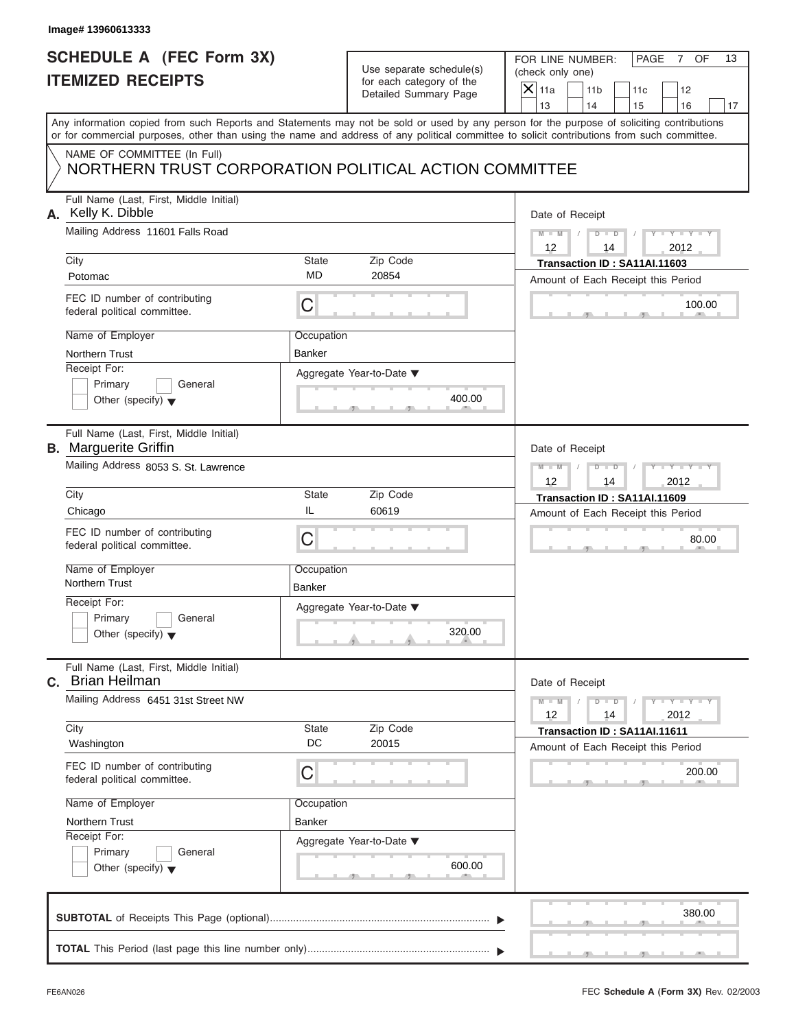## **SCHEDULE A (FEC Form 3X) ITEMIZED RECEIPTS**

| Use separate schedule(s) |
|--------------------------|
| for each category of the |
| Detailed Summary Page    |

| SCHEDULE A (FEC Form 3X)<br><b>ITEMIZED RECEIPTS</b>                                                                                                                                                                                                                                                                                                                            | Use separate schedule(s)<br>for each category of the<br>Detailed Summary Page                                       | FOR LINE NUMBER:<br>PAGE<br>OF<br>13<br>7<br>(check only one)<br>$X$ 11a<br>11 <sub>b</sub><br>12<br>11c                                                      |
|---------------------------------------------------------------------------------------------------------------------------------------------------------------------------------------------------------------------------------------------------------------------------------------------------------------------------------------------------------------------------------|---------------------------------------------------------------------------------------------------------------------|---------------------------------------------------------------------------------------------------------------------------------------------------------------|
| Any information copied from such Reports and Statements may not be sold or used by any person for the purpose of soliciting contributions<br>or for commercial purposes, other than using the name and address of any political committee to solicit contributions from such committee.<br>NAME OF COMMITTEE (In Full)<br>NORTHERN TRUST CORPORATION POLITICAL ACTION COMMITTEE |                                                                                                                     | 13<br>14<br>15<br>16<br>17                                                                                                                                    |
| Full Name (Last, First, Middle Initial)<br>A. Kelly K. Dibble<br>Mailing Address 11601 Falls Road<br>City<br>Potomac<br>FEC ID number of contributing<br>C<br>federal political committee.<br>Name of Employer<br>Northern Trust<br>Receipt For:<br>Primary<br>General<br>Other (specify) $\blacktriangledown$                                                                  | <b>State</b><br>Zip Code<br><b>MD</b><br>20854<br>Occupation<br><b>Banker</b><br>Aggregate Year-to-Date ▼<br>400.00 | Date of Receipt<br>$Y - Y - Y$<br>$M - M$ /<br>$D$ $D$<br>12<br>2012<br>14<br>Transaction ID: SA11AI.11603<br>Amount of Each Receipt this Period<br>100.00    |
| Full Name (Last, First, Middle Initial)<br><b>B.</b> Marguerite Griffin<br>Mailing Address 8053 S. St. Lawrence<br>City<br>IL<br>Chicago<br>FEC ID number of contributing<br>C<br>federal political committee.<br>Name of Employer<br>Northern Trust<br><b>Banker</b><br>Receipt For:<br>General<br>Primary<br>Other (specify) $\blacktriangledown$                             | Zip Code<br><b>State</b><br>60619<br>Occupation<br>Aggregate Year-to-Date ▼<br>320.00<br>æ.                         | Date of Receipt<br>$M - M$<br>$D - D$<br>$Y - Y - I$<br>12<br>2012<br>14<br>Transaction ID: SA11AI.11609<br>Amount of Each Receipt this Period<br>80.00       |
| Full Name (Last, First, Middle Initial)<br><b>Brian Heilman</b><br>C.<br>Mailing Address 6451 31st Street NW<br>City<br>Washington<br>FEC ID number of contributing<br>$\mathsf C$<br>federal political committee.<br>Name of Employer<br>Northern Trust<br>Receipt For:<br>Primary<br>General<br>Other (specify) $\blacktriangledown$                                          | Zip Code<br><b>State</b><br>DC<br>20015<br>Occupation<br>Banker<br>Aggregate Year-to-Date ▼<br>600.00               | Date of Receipt<br><b>THEY THEY</b><br>$M - M$<br>$D$ $D$<br>12<br>14<br>2012<br>Transaction ID: SA11AI.11611<br>Amount of Each Receipt this Period<br>200.00 |
|                                                                                                                                                                                                                                                                                                                                                                                 |                                                                                                                     | 380.00                                                                                                                                                        |

 $S = 1 - 1 - 2$ 

FOR LINE NUMBER: | PAGE 7 OF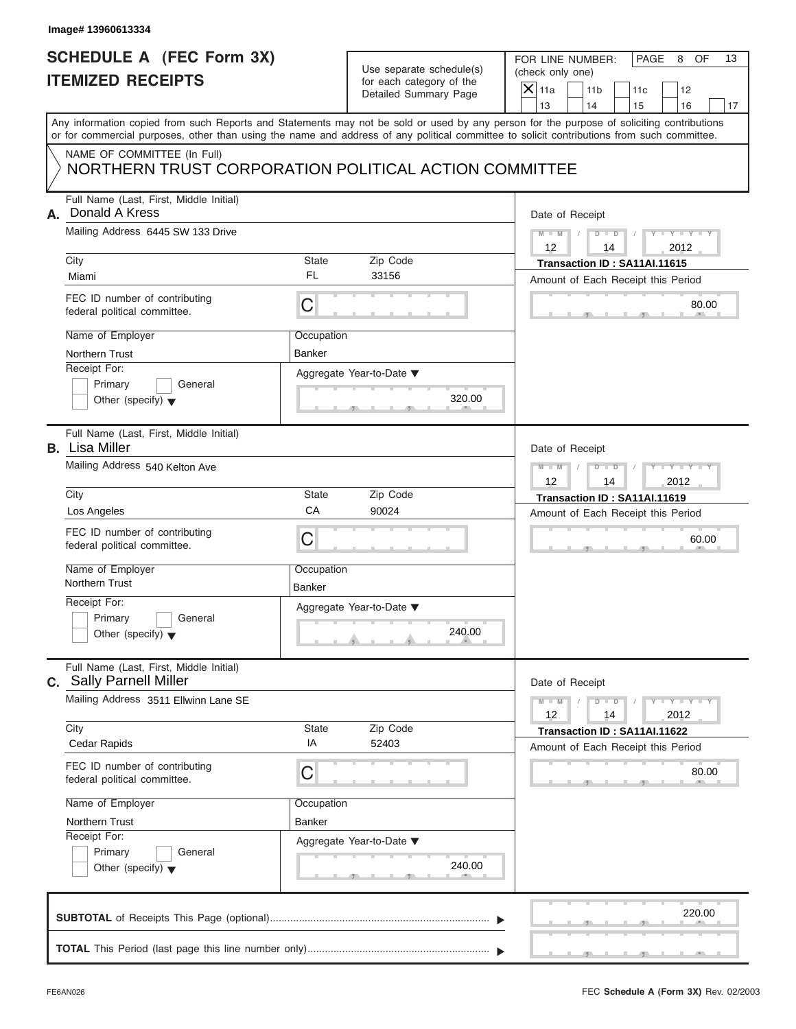# **SCHEDULE A (FEC Form 3X) ITEMIZED RECEIPTS**

| Use separate schedule(s) |
|--------------------------|
| for each category of the |
| Detailed Summary Page    |

FOR LINE NUMBER: | PAGE 8 OF

| SCHEDULE A (FEC Form 3X)<br><b>ITEMIZED RECEIPTS</b>                                                                                                                                                                                                                                    |                             | Use separate schedule(s)<br>for each category of the | FOR LINE NUMBER:<br>PAGE<br>8<br>OF<br>13<br>(check only one)                  |  |  |
|-----------------------------------------------------------------------------------------------------------------------------------------------------------------------------------------------------------------------------------------------------------------------------------------|-----------------------------|------------------------------------------------------|--------------------------------------------------------------------------------|--|--|
|                                                                                                                                                                                                                                                                                         |                             | Detailed Summary Page                                | $\mathsf{X}$ 11a<br>11 <sub>b</sub><br>12<br>11c<br>13<br>14<br>15<br>16<br>17 |  |  |
| Any information copied from such Reports and Statements may not be sold or used by any person for the purpose of soliciting contributions<br>or for commercial purposes, other than using the name and address of any political committee to solicit contributions from such committee. |                             |                                                      |                                                                                |  |  |
| NAME OF COMMITTEE (In Full)<br>NORTHERN TRUST CORPORATION POLITICAL ACTION COMMITTEE                                                                                                                                                                                                    |                             |                                                      |                                                                                |  |  |
| Full Name (Last, First, Middle Initial)<br>Donald A Kress<br>А.                                                                                                                                                                                                                         |                             |                                                      | Date of Receipt                                                                |  |  |
| Mailing Address 6445 SW 133 Drive<br>Zip Code<br>City<br><b>State</b>                                                                                                                                                                                                                   |                             |                                                      | $M - M$ /<br>$Y = Y = Y$<br>$D$ $D$<br>12<br>2012<br>14                        |  |  |
| Miami                                                                                                                                                                                                                                                                                   | <b>FL</b>                   | 33156                                                | Transaction ID: SA11AI.11615<br>Amount of Each Receipt this Period             |  |  |
| FEC ID number of contributing<br>federal political committee.                                                                                                                                                                                                                           | $\mathsf C$                 |                                                      | 80.00                                                                          |  |  |
| Name of Employer<br><b>Northern Trust</b>                                                                                                                                                                                                                                               | Occupation<br><b>Banker</b> |                                                      |                                                                                |  |  |
| Receipt For:<br>Primary<br>General<br>Other (specify) $\blacktriangledown$                                                                                                                                                                                                              |                             | Aggregate Year-to-Date ▼<br>320.00<br>$-9 -$         |                                                                                |  |  |
| Full Name (Last, First, Middle Initial)<br><b>B.</b> Lisa Miller                                                                                                                                                                                                                        |                             |                                                      |                                                                                |  |  |
| Mailing Address 540 Kelton Ave                                                                                                                                                                                                                                                          |                             |                                                      | $M - M$<br>$Y - Y$<br>$D$ $D$<br>12<br>2012<br>14                              |  |  |
| City                                                                                                                                                                                                                                                                                    | <b>State</b>                | Zip Code                                             | Transaction ID: SA11AI.11619                                                   |  |  |
| Los Angeles                                                                                                                                                                                                                                                                             | CA                          | 90024                                                | Amount of Each Receipt this Period                                             |  |  |
| FEC ID number of contributing<br>federal political committee.                                                                                                                                                                                                                           | C                           |                                                      | 60.00                                                                          |  |  |
| Name of Employer<br>Northern Trust                                                                                                                                                                                                                                                      | Occupation<br>Banker        |                                                      |                                                                                |  |  |
| Receipt For:                                                                                                                                                                                                                                                                            |                             | Aggregate Year-to-Date ▼                             |                                                                                |  |  |
| General<br>Primary<br>Other (specify) $\blacktriangledown$                                                                                                                                                                                                                              |                             | 240.00<br><u>. a</u>                                 |                                                                                |  |  |
| Full Name (Last, First, Middle Initial)<br><b>c.</b> Sally Parnell Miller                                                                                                                                                                                                               |                             |                                                      | Date of Receipt                                                                |  |  |
| Mailing Address 3511 Ellwinn Lane SE                                                                                                                                                                                                                                                    |                             |                                                      | $M - M$<br>$T - Y = -Y - T - Y$<br>$D$ $D$<br>12<br>14<br>2012                 |  |  |
| City<br>Cedar Rapids                                                                                                                                                                                                                                                                    | <b>State</b><br>ΙA          | Zip Code<br>52403                                    | Transaction ID: SA11AI.11622<br>Amount of Each Receipt this Period             |  |  |
| FEC ID number of contributing<br>federal political committee.                                                                                                                                                                                                                           | C                           |                                                      | 80.00                                                                          |  |  |
| Name of Employer                                                                                                                                                                                                                                                                        | Occupation                  |                                                      |                                                                                |  |  |
| Northern Trust                                                                                                                                                                                                                                                                          | Banker                      |                                                      |                                                                                |  |  |
| Receipt For:<br>Primary<br>General<br>Other (specify) $\blacktriangledown$                                                                                                                                                                                                              |                             | Aggregate Year-to-Date ▼<br>240.00                   |                                                                                |  |  |
|                                                                                                                                                                                                                                                                                         |                             |                                                      | 220.00                                                                         |  |  |
|                                                                                                                                                                                                                                                                                         |                             |                                                      |                                                                                |  |  |

FEC **Schedule A (Form 3X)** Rev. 02/2003

J.

S S S , , .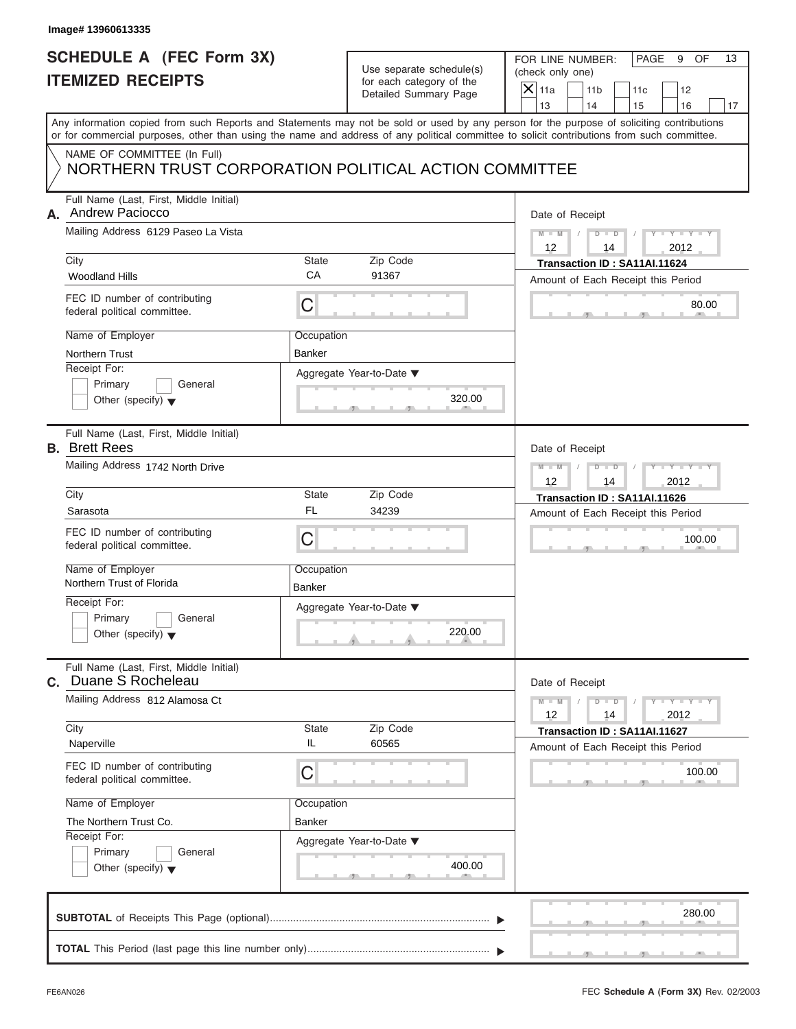## **SCHEDULE A (FEC Form 3X) ITEMIZED RECEIPTS**

FOR LINE NUMBER: PAGE 9 OF<br>(check only one)

|    | SCHEDULE A (FEC Form 3X)<br><b>ITEMIZED RECEIPTS</b>                                                                                                                                                                                                                                    |                             | Use separate schedule(s)<br>for each category of the | FOR LINE NUMBER:<br>PAGE<br>9<br>OF<br>13<br>(check only one)                                                                                         |
|----|-----------------------------------------------------------------------------------------------------------------------------------------------------------------------------------------------------------------------------------------------------------------------------------------|-----------------------------|------------------------------------------------------|-------------------------------------------------------------------------------------------------------------------------------------------------------|
|    |                                                                                                                                                                                                                                                                                         |                             | Detailed Summary Page                                | $\overline{\mathsf{x}}$<br>11a<br>11 <sub>b</sub><br>12<br>11c<br>13<br>14<br>15<br>16<br>17                                                          |
|    | Any information copied from such Reports and Statements may not be sold or used by any person for the purpose of soliciting contributions<br>or for commercial purposes, other than using the name and address of any political committee to solicit contributions from such committee. |                             |                                                      |                                                                                                                                                       |
|    | NAME OF COMMITTEE (In Full)<br>NORTHERN TRUST CORPORATION POLITICAL ACTION COMMITTEE                                                                                                                                                                                                    |                             |                                                      |                                                                                                                                                       |
| А. | Full Name (Last, First, Middle Initial)<br><b>Andrew Paciocco</b><br>Mailing Address 6129 Paseo La Vista<br>City<br><b>Woodland Hills</b><br>FEC ID number of contributing<br>federal political committee.                                                                              | <b>State</b><br>CA<br>C     | Zip Code<br>91367                                    | Date of Receipt<br>$M - M$<br>D<br>$\Box$<br>12<br>2012<br>14<br>Transaction ID: SA11AI.11624<br>Amount of Each Receipt this Period<br>80.00          |
|    | Name of Employer<br>Northern Trust<br>Receipt For:<br>General<br>Primary<br>Other (specify) $\blacktriangledown$                                                                                                                                                                        | Occupation<br><b>Banker</b> | Aggregate Year-to-Date ▼<br>320.00<br>$-9$           |                                                                                                                                                       |
|    | Full Name (Last, First, Middle Initial)<br><b>B.</b> Brett Rees<br>Mailing Address 1742 North Drive<br>City<br>Sarasota<br>FEC ID number of contributing<br>federal political committee.                                                                                                | <b>State</b><br>FL<br>C     | Zip Code<br>34239                                    | Date of Receipt<br>$-Y$<br>$M - M$<br>$\Box$<br>ъ<br>12<br>2012<br>14<br>Transaction ID: SA11AI.11626<br>Amount of Each Receipt this Period<br>100.00 |
|    | Name of Employer<br>Northern Trust of Florida<br>Receipt For:<br>Primary<br>General<br>Other (specify) $\blacktriangledown$                                                                                                                                                             | Occupation<br><b>Banker</b> | Aggregate Year-to-Date ▼<br>220.00<br>- 10           |                                                                                                                                                       |
| C. | Full Name (Last, First, Middle Initial)<br>Duane S Rocheleau<br>Mailing Address 812 Alamosa Ct<br>City                                                                                                                                                                                  | <b>State</b>                | Zip Code                                             | Date of Receipt<br>$Y = Y$<br>$M - M$<br>D<br>$\overline{D}$<br>12<br>14<br>2012<br>Transaction ID: SA11AI.11627                                      |
|    | Naperville<br>FEC ID number of contributing<br>federal political committee.                                                                                                                                                                                                             | IL<br>$\mathsf C$           | 60565                                                | Amount of Each Receipt this Period<br>100.00                                                                                                          |
|    | Name of Employer<br>The Northern Trust Co.<br>Receipt For:<br>Primary<br>General<br>Other (specify) $\blacktriangledown$                                                                                                                                                                | Occupation<br>Banker        | Aggregate Year-to-Date ▼<br>400.00                   |                                                                                                                                                       |
|    |                                                                                                                                                                                                                                                                                         |                             |                                                      | 280.00                                                                                                                                                |
|    |                                                                                                                                                                                                                                                                                         |                             |                                                      |                                                                                                                                                       |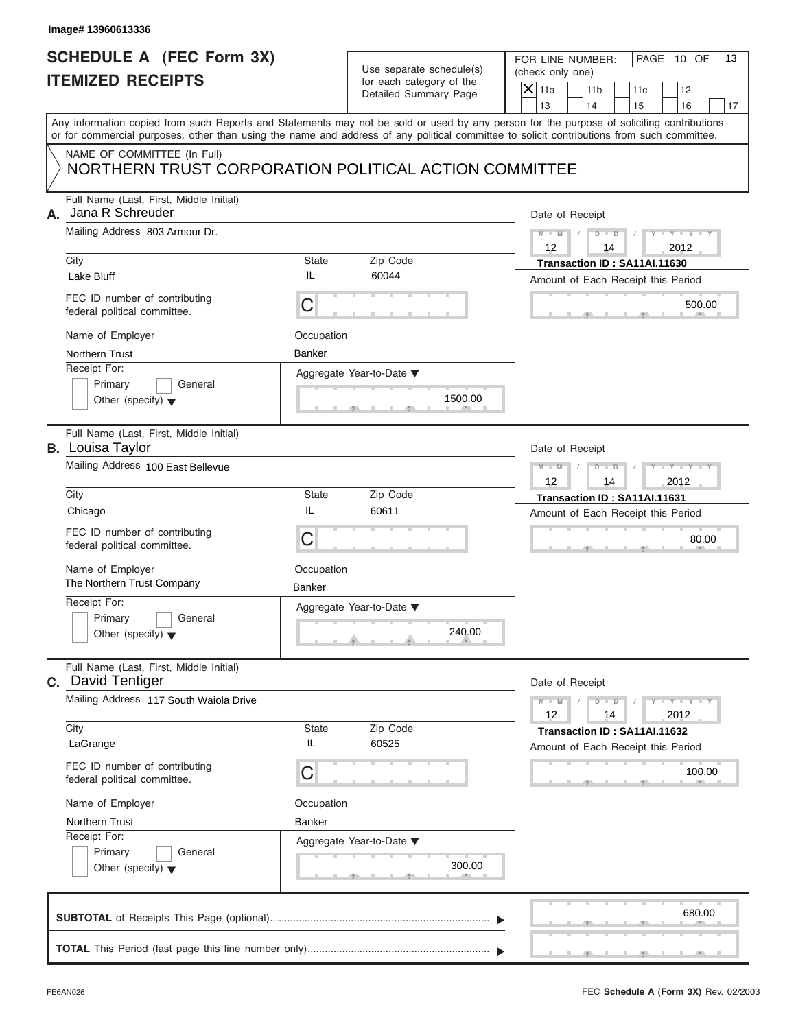## **SCHEDULE A (FEC Form 3X) ITEMIZED RECEIPTS**

| Use separate schedule(s) |
|--------------------------|
| for each category of the |
| Detailed Summary Page    |

| Image# 13960613336                                                                                                                                                                                                                                                                      |                             |                                                                               |                                                                                         |                                                             |
|-----------------------------------------------------------------------------------------------------------------------------------------------------------------------------------------------------------------------------------------------------------------------------------------|-----------------------------|-------------------------------------------------------------------------------|-----------------------------------------------------------------------------------------|-------------------------------------------------------------|
| <b>SCHEDULE A (FEC Form 3X)</b><br><b>ITEMIZED RECEIPTS</b>                                                                                                                                                                                                                             |                             | Use separate schedule(s)<br>for each category of the<br>Detailed Summary Page | FOR LINE NUMBER:<br>(check only one)<br>$\mathsf{X}$ 11a<br>11 <sub>b</sub><br>13<br>14 | PAGE 10 OF<br>13<br>11c<br>12<br>15<br>16<br>17             |
| Any information copied from such Reports and Statements may not be sold or used by any person for the purpose of soliciting contributions<br>or for commercial purposes, other than using the name and address of any political committee to solicit contributions from such committee. |                             |                                                                               |                                                                                         |                                                             |
| NAME OF COMMITTEE (In Full)<br>NORTHERN TRUST CORPORATION POLITICAL ACTION COMMITTEE                                                                                                                                                                                                    |                             |                                                                               |                                                                                         |                                                             |
| Full Name (Last, First, Middle Initial)<br>Jana R Schreuder<br>А.<br>Mailing Address 803 Armour Dr.<br>State<br>City                                                                                                                                                                    |                             | Zip Code                                                                      | Date of Receipt<br>$D - D$<br>$M - M$<br>12<br>14<br>Transaction ID: SA11AI.11630       | $Y - Y - Y - Y$<br>2012                                     |
| Lake Bluff                                                                                                                                                                                                                                                                              | IL                          | 60044                                                                         | Amount of Each Receipt this Period                                                      |                                                             |
| FEC ID number of contributing<br>federal political committee.                                                                                                                                                                                                                           | C                           |                                                                               |                                                                                         | 500.00                                                      |
| Name of Employer<br>Northern Trust                                                                                                                                                                                                                                                      | Occupation<br><b>Banker</b> |                                                                               |                                                                                         |                                                             |
| Receipt For:<br>Primary<br>General<br>Other (specify) $\blacktriangledown$                                                                                                                                                                                                              |                             | Aggregate Year-to-Date ▼<br>1500.00                                           |                                                                                         |                                                             |
| Full Name (Last, First, Middle Initial)<br><b>B.</b> Louisa Taylor                                                                                                                                                                                                                      |                             |                                                                               | Date of Receipt                                                                         |                                                             |
| Mailing Address 100 East Bellevue                                                                                                                                                                                                                                                       |                             |                                                                               | $M - M$<br>$D - I - D$<br>12<br>14                                                      | Y T Y T Y T<br>2012                                         |
| City                                                                                                                                                                                                                                                                                    | State<br>IL                 | Zip Code                                                                      | Transaction ID: SA11AI.11631                                                            |                                                             |
| Chicago<br>FEC ID number of contributing<br>federal political committee.                                                                                                                                                                                                                | C                           | 60611                                                                         | Amount of Each Receipt this Period                                                      | 80.00                                                       |
| Name of Employer<br>The Northern Trust Company                                                                                                                                                                                                                                          | Occupation<br>Banker        |                                                                               |                                                                                         |                                                             |
| Receipt For:<br>Primary<br>General<br>Other (specify) $\blacktriangledown$                                                                                                                                                                                                              |                             | Aggregate Year-to-Date ▼<br>240.00                                            |                                                                                         |                                                             |
| Full Name (Last, First, Middle Initial)<br>C. David Tentiger<br>Mailing Address 117 South Waiola Drive                                                                                                                                                                                  |                             |                                                                               | Date of Receipt                                                                         |                                                             |
|                                                                                                                                                                                                                                                                                         |                             |                                                                               | $M - M$<br>$D$ $D$<br>12<br>14                                                          | $\mathbf{I} = \mathbf{Y} + \mathbf{I} - \mathbf{Y}$<br>2012 |
| City<br>LaGrange                                                                                                                                                                                                                                                                        | State<br>IL                 | Zip Code<br>60525                                                             | Transaction ID: SA11AI.11632<br>Amount of Each Receipt this Period                      |                                                             |
| FEC ID number of contributing<br>federal political committee.                                                                                                                                                                                                                           | С                           |                                                                               |                                                                                         | 100.00                                                      |
| Name of Employer                                                                                                                                                                                                                                                                        | Occupation                  |                                                                               |                                                                                         |                                                             |
| Northern Trust<br>Receipt For:                                                                                                                                                                                                                                                          | Banker                      |                                                                               |                                                                                         |                                                             |
| Primary<br>General<br>Other (specify) $\blacktriangledown$                                                                                                                                                                                                                              |                             | Aggregate Year-to-Date ▼<br>300.00                                            |                                                                                         |                                                             |
|                                                                                                                                                                                                                                                                                         |                             |                                                                               |                                                                                         | 680.00                                                      |
|                                                                                                                                                                                                                                                                                         |                             |                                                                               |                                                                                         |                                                             |

S S S , , .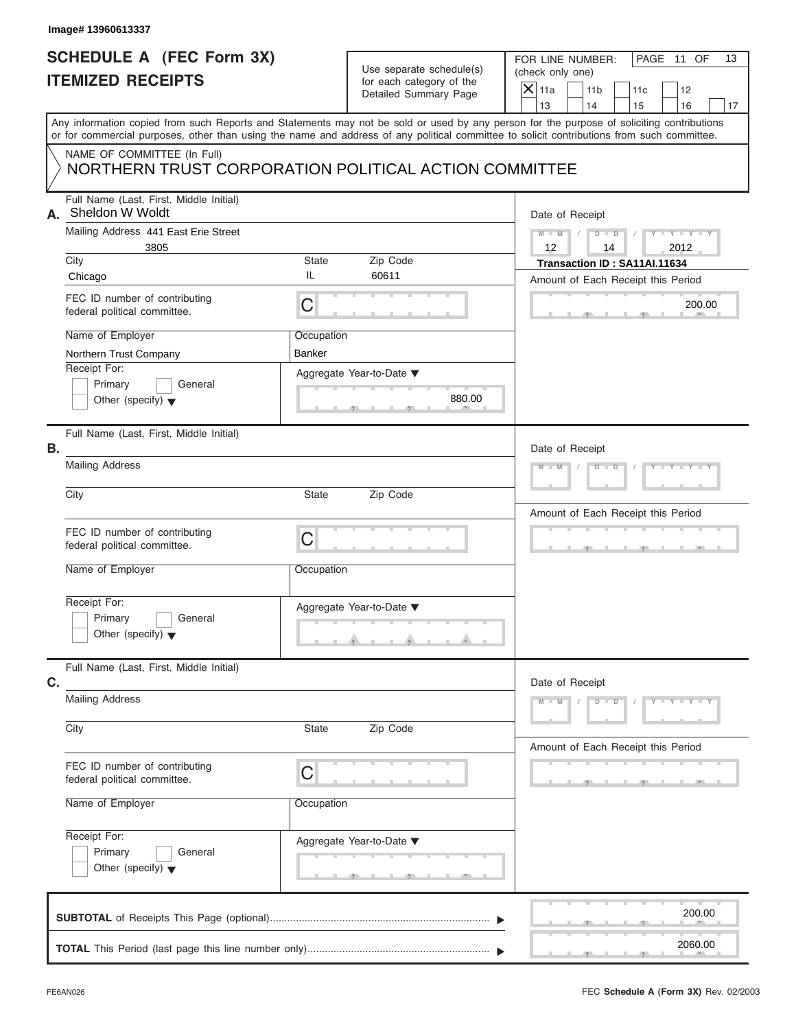## **SCHEDULE A (FEC Form 3X) ITEMIZED RECEIPTS**

| Use separate schedule(s) |
|--------------------------|
| for each category of the |
| Detailed Summary Page    |

|                                                                         | Image# 13960613337                                                                                                                         |                           |                                                                               |                                                                                                                                            |  |
|-------------------------------------------------------------------------|--------------------------------------------------------------------------------------------------------------------------------------------|---------------------------|-------------------------------------------------------------------------------|--------------------------------------------------------------------------------------------------------------------------------------------|--|
|                                                                         | <b>SCHEDULE A (FEC Form 3X)</b><br><b>ITEMIZED RECEIPTS</b>                                                                                |                           | Use separate schedule(s)<br>for each category of the<br>Detailed Summary Page | PAGE 11 OF<br>FOR LINE NUMBER:<br>13<br>(check only one)<br>$\mathsf{X}$ 11a<br>11 <sub>b</sub><br>11c<br>12<br>13<br>14<br>16<br>15<br>17 |  |
|                                                                         | or for commercial purposes, other than using the name and address of any political committee to solicit contributions from such committee. |                           |                                                                               | Any information copied from such Reports and Statements may not be sold or used by any person for the purpose of soliciting contributions  |  |
|                                                                         | NAME OF COMMITTEE (In Full)<br>NORTHERN TRUST CORPORATION POLITICAL ACTION COMMITTEE                                                       |                           |                                                                               |                                                                                                                                            |  |
| А.                                                                      | Full Name (Last, First, Middle Initial)<br>Sheldon W Woldt<br>Mailing Address 441 East Erie Street<br>3805<br>City<br>Chicago              | State<br>IL               | Zip Code<br>60611                                                             | Date of Receipt<br>$Y - Y - Y - Y - Y$<br>$M - M$<br>$D$ $D$<br>12<br>2012<br>14<br>Transaction ID: SA11AI.11634                           |  |
|                                                                         | FEC ID number of contributing<br>federal political committee.<br>Name of Employer                                                          | $\mathsf C$<br>Occupation |                                                                               | Amount of Each Receipt this Period<br>200.00                                                                                               |  |
|                                                                         | Northern Trust Company<br>Receipt For:<br>Primary<br>General<br>Other (specify) $\blacktriangledown$                                       | <b>Banker</b>             | Aggregate Year-to-Date ▼<br>880.00                                            |                                                                                                                                            |  |
| Full Name (Last, First, Middle Initial)<br>В.<br><b>Mailing Address</b> |                                                                                                                                            |                           |                                                                               | Date of Receipt<br>Y FY FY FY<br>$M - M$<br>$D$ $D$                                                                                        |  |
|                                                                         | City                                                                                                                                       | <b>State</b>              | Zip Code                                                                      | Amount of Each Receipt this Period                                                                                                         |  |
|                                                                         | FEC ID number of contributing<br>federal political committee.<br>Name of Employer                                                          | C<br>Occupation           |                                                                               | $-9$                                                                                                                                       |  |
|                                                                         | Receipt For:<br>Primary<br>General<br>Other (specify) $\blacktriangledown$                                                                 |                           | Aggregate Year-to-Date ▼                                                      |                                                                                                                                            |  |
| Full Name (Last, First, Middle Initial)<br>C.                           |                                                                                                                                            |                           |                                                                               | Date of Receipt                                                                                                                            |  |
|                                                                         | <b>Mailing Address</b><br>Zip Code<br>City<br>State                                                                                        |                           |                                                                               | $M - M$<br>$D$ $D$<br>$Y = Y + Y +$                                                                                                        |  |
|                                                                         | FEC ID number of contributing<br>federal political committee.<br>Name of Employer                                                          | C<br>Occupation           |                                                                               | Amount of Each Receipt this Period                                                                                                         |  |
|                                                                         | Receipt For:<br>Primary<br>General<br>Other (specify) $\blacktriangledown$                                                                 |                           | Aggregate Year-to-Date ▼                                                      |                                                                                                                                            |  |
|                                                                         |                                                                                                                                            |                           |                                                                               | 200.00                                                                                                                                     |  |
|                                                                         |                                                                                                                                            |                           |                                                                               | 2060.00                                                                                                                                    |  |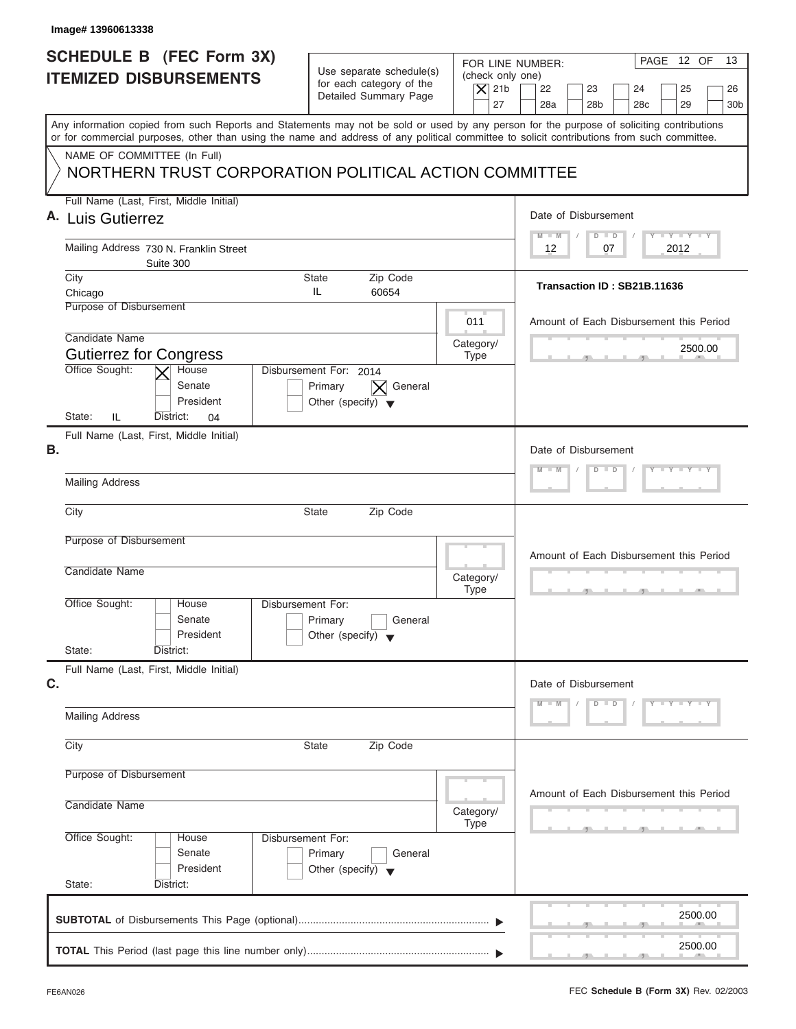| Image# 13960613338                                                                                                                                                                                                                                                                      |                                                                                      |                                                                  |                                                                                                                      |  |  |
|-----------------------------------------------------------------------------------------------------------------------------------------------------------------------------------------------------------------------------------------------------------------------------------------|--------------------------------------------------------------------------------------|------------------------------------------------------------------|----------------------------------------------------------------------------------------------------------------------|--|--|
| SCHEDULE B (FEC Form 3X)<br><b>ITEMIZED DISBURSEMENTS</b>                                                                                                                                                                                                                               | Use separate schedule(s)<br>for each category of the<br>Detailed Summary Page        | FOR LINE NUMBER:<br>(check only one)<br>$\vert$ $\chi$ 21b<br>27 | PAGE 12 OF<br>13<br>22<br>23<br>24<br>25<br>26<br>28a<br>28 <sub>b</sub><br>28 <sub>c</sub><br>29<br>30 <sub>b</sub> |  |  |
| Any information copied from such Reports and Statements may not be sold or used by any person for the purpose of soliciting contributions<br>or for commercial purposes, other than using the name and address of any political committee to solicit contributions from such committee. |                                                                                      |                                                                  |                                                                                                                      |  |  |
| NAME OF COMMITTEE (In Full)<br>NORTHERN TRUST CORPORATION POLITICAL ACTION COMMITTEE                                                                                                                                                                                                    |                                                                                      |                                                                  |                                                                                                                      |  |  |
| Full Name (Last, First, Middle Initial)<br>A. Luis Gutierrez                                                                                                                                                                                                                            |                                                                                      |                                                                  | Date of Disbursement                                                                                                 |  |  |
| Mailing Address 730 N. Franklin Street                                                                                                                                                                                                                                                  |                                                                                      |                                                                  |                                                                                                                      |  |  |
| Suite 300<br>City<br>Chicago                                                                                                                                                                                                                                                            | Zip Code<br>State<br>IL<br>60654                                                     |                                                                  | Transaction ID: SB21B.11636                                                                                          |  |  |
| Purpose of Disbursement                                                                                                                                                                                                                                                                 |                                                                                      | 011                                                              | Amount of Each Disbursement this Period                                                                              |  |  |
| Candidate Name<br><b>Gutierrez for Congress</b>                                                                                                                                                                                                                                         |                                                                                      | Category/<br><b>Type</b>                                         | 2500.00                                                                                                              |  |  |
| Office Sought:<br>House<br>Senate<br>President<br>State:<br>IL<br>District:<br>04                                                                                                                                                                                                       | Disbursement For: 2014<br>General<br>Primary<br>Other (specify) $\blacktriangledown$ |                                                                  |                                                                                                                      |  |  |
| Full Name (Last, First, Middle Initial)<br>В.                                                                                                                                                                                                                                           |                                                                                      |                                                                  | Date of Disbursement                                                                                                 |  |  |
| <b>Mailing Address</b>                                                                                                                                                                                                                                                                  | $Y = Y + Y + Y$<br>$D$ $D$<br>$-N$                                                   |                                                                  |                                                                                                                      |  |  |
| City                                                                                                                                                                                                                                                                                    | State<br>Zip Code                                                                    |                                                                  |                                                                                                                      |  |  |
| Purpose of Disbursement<br>Candidate Name                                                                                                                                                                                                                                               |                                                                                      |                                                                  | Amount of Each Disbursement this Period                                                                              |  |  |
| Office Sought:<br>House                                                                                                                                                                                                                                                                 | Disbursement For:                                                                    | Category/<br><b>Type</b>                                         |                                                                                                                      |  |  |
| Senate<br>President<br>State:<br>District:                                                                                                                                                                                                                                              | Primary<br>General<br>Other (specify) $\blacktriangledown$                           |                                                                  |                                                                                                                      |  |  |
| Full Name (Last, First, Middle Initial)<br>C.                                                                                                                                                                                                                                           |                                                                                      |                                                                  | Date of Disbursement                                                                                                 |  |  |
| <b>Mailing Address</b>                                                                                                                                                                                                                                                                  |                                                                                      |                                                                  | $D$ $D$<br>$Y - Y - Y - Y - Y$<br>M<br>$- M$                                                                         |  |  |
| City<br>State                                                                                                                                                                                                                                                                           |                                                                                      |                                                                  |                                                                                                                      |  |  |
| Purpose of Disbursement<br>Candidate Name                                                                                                                                                                                                                                               | Amount of Each Disbursement this Period                                              |                                                                  |                                                                                                                      |  |  |
| Office Sought:<br>House<br>Senate                                                                                                                                                                                                                                                       | Disbursement For:<br>Primary<br>General                                              | Category/<br><b>Type</b>                                         |                                                                                                                      |  |  |
| President<br>State:<br>District:                                                                                                                                                                                                                                                        | Other (specify) $\blacktriangledown$                                                 |                                                                  |                                                                                                                      |  |  |
|                                                                                                                                                                                                                                                                                         |                                                                                      |                                                                  | 2500.00                                                                                                              |  |  |
|                                                                                                                                                                                                                                                                                         |                                                                                      |                                                                  | 2500.00                                                                                                              |  |  |